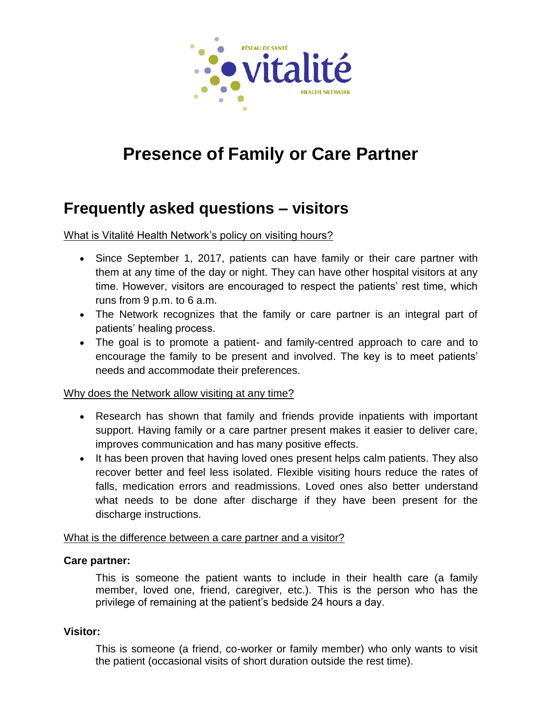

# **Presence of Family or Care Partner**

# **Frequently asked questions – visitors**

What is Vitalité Health Network's policy on visiting hours?

- Since September 1, 2017, patients can have family or their care partner with them at any time of the day or night. They can have other hospital visitors at any time. However, visitors are encouraged to respect the patients' rest time, which runs from 9 p.m. to 6 a.m.
- The Network recognizes that the family or care partner is an integral part of patients' healing process.
- The goal is to promote a patient- and family-centred approach to care and to encourage the family to be present and involved. The key is to meet patients' needs and accommodate their preferences.

#### Why does the Network allow visiting at any time?

- Research has shown that family and friends provide inpatients with important support. Having family or a care partner present makes it easier to deliver care, improves communication and has many positive effects.
- It has been proven that having loved ones present helps calm patients. They also recover better and feel less isolated. Flexible visiting hours reduce the rates of falls, medication errors and readmissions. Loved ones also better understand what needs to be done after discharge if they have been present for the discharge instructions.

## What is the difference between a care partner and a visitor?

#### **Care partner:**

This is someone the patient wants to include in their health care (a family member, loved one, friend, caregiver, etc.). This is the person who has the privilege of remaining at the patient's bedside 24 hours a day.

#### **Visitor:**

This is someone (a friend, co-worker or family member) who only wants to visit the patient (occasional visits of short duration outside the rest time).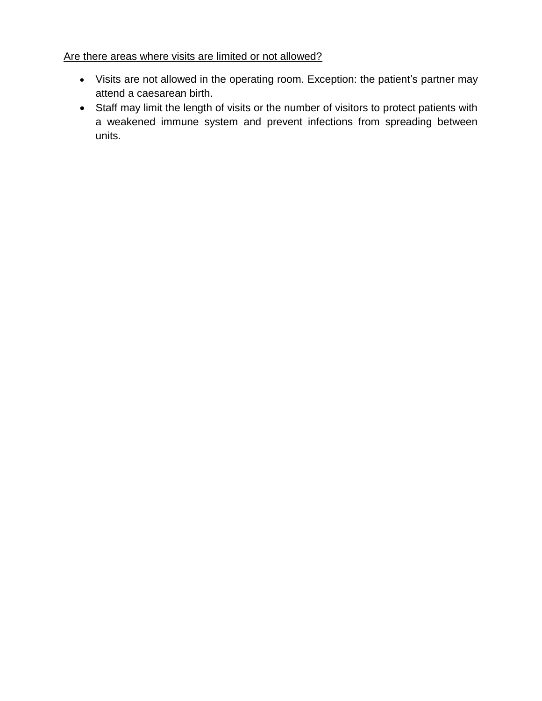#### Are there areas where visits are limited or not allowed?

- Visits are not allowed in the operating room. Exception: the patient's partner may attend a caesarean birth.
- Staff may limit the length of visits or the number of visitors to protect patients with a weakened immune system and prevent infections from spreading between units.